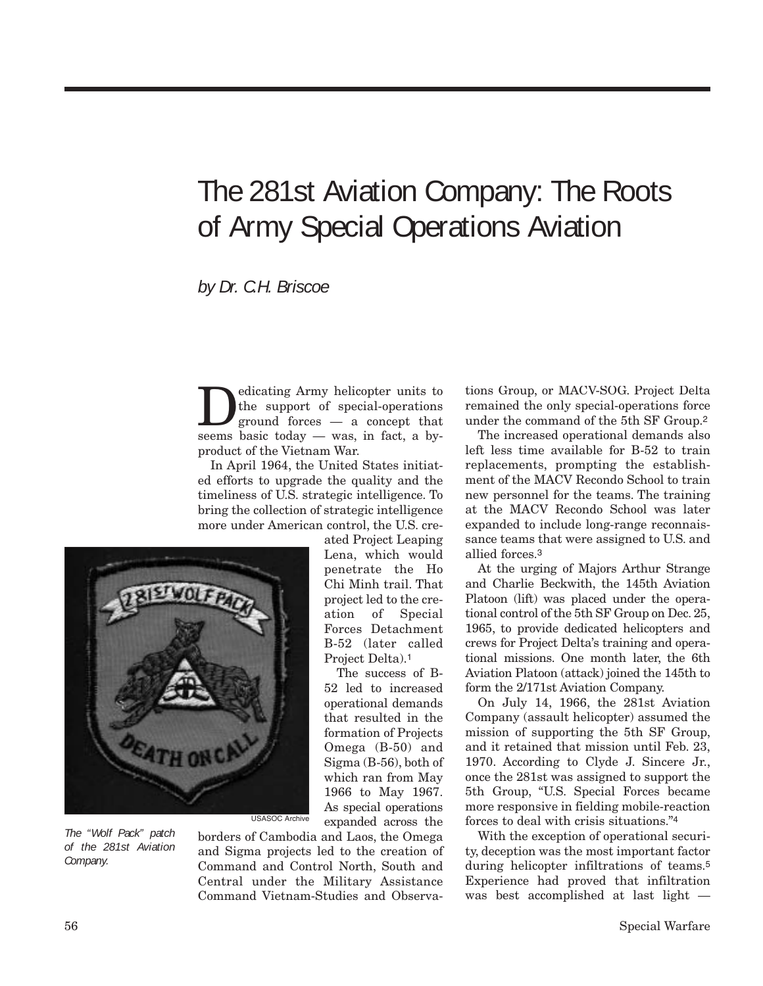## The 281st Aviation Company: The Roots of Army Special Operations Aviation

*by Dr. C.H. Briscoe*

Dedicating Army helicopter units to<br>the support of special-operations<br>ground forces — a concept that the support of special-operations seems basic today — was, in fact, a byproduct of the Vietnam War.

In April 1964, the United States initiated efforts to upgrade the quality and the timeliness of U.S. strategic intelligence. To bring the collection of strategic intelligence more under American control, the U.S. cre-



*The "Wolf Pack" patch of the 281st Aviation Company.*

ated Project Leaping Lena, which would penetrate the Ho Chi Minh trail. That project led to the creation of Special Forces Detachment B-52 (later called Project Delta).1

The success of B-52 led to increased operational demands that resulted in the formation of Projects Omega (B-50) and Sigma (B-56), both of which ran from May 1966 to May 1967. As special operations expanded across the

borders of Cambodia and Laos, the Omega and Sigma projects led to the creation of Command and Control North, South and Central under the Military Assistance Command Vietnam-Studies and Observations Group, or MACV-SOG. Project Delta remained the only special-operations force under the command of the 5th SF Group.2

The increased operational demands also left less time available for B-52 to train replacements, prompting the establishment of the MACV Recondo School to train new personnel for the teams. The training at the MACV Recondo School was later expanded to include long-range reconnaissance teams that were assigned to U.S. and allied forces.3

At the urging of Majors Arthur Strange and Charlie Beckwith, the 145th Aviation Platoon (lift) was placed under the operational control of the 5th SF Group on Dec. 25, 1965, to provide dedicated helicopters and crews for Project Delta's training and operational missions. One month later, the 6th Aviation Platoon (attack) joined the 145th to form the 2/171st Aviation Company.

On July 14, 1966, the 281st Aviation Company (assault helicopter) assumed the mission of supporting the 5th SF Group, and it retained that mission until Feb. 23, 1970. According to Clyde J. Sincere Jr., once the 281st was assigned to support the 5th Group, "U.S. Special Forces became more responsive in fielding mobile-reaction forces to deal with crisis situations."4

With the exception of operational security, deception was the most important factor during helicopter infiltrations of teams.5 Experience had proved that infiltration was best accomplished at last light —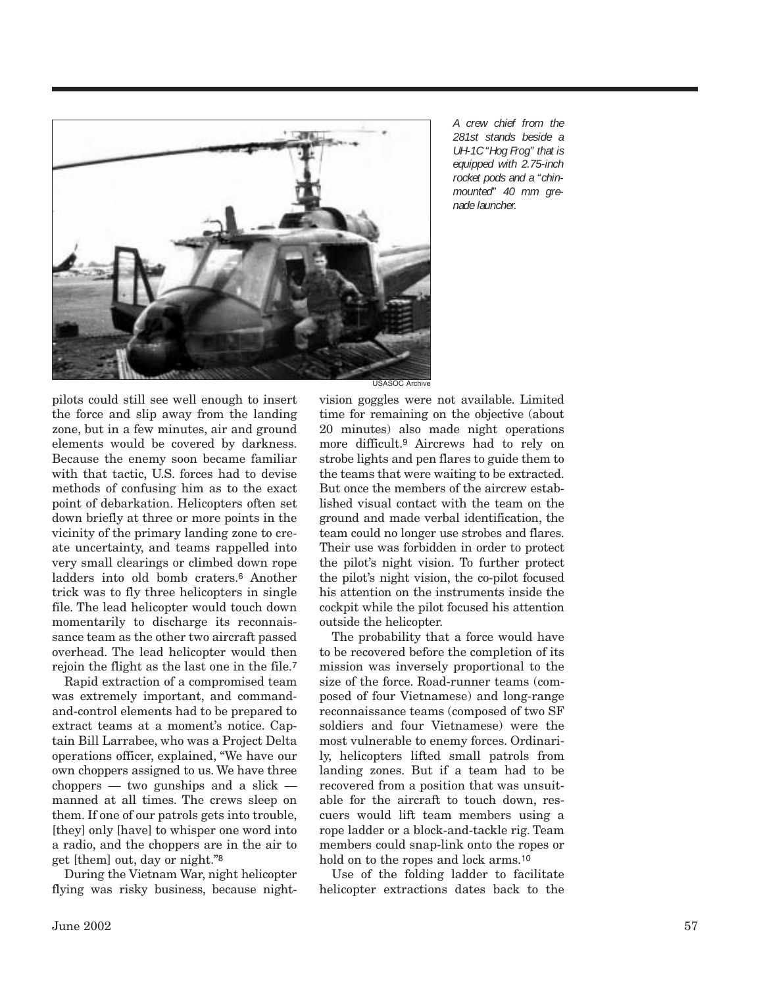

*A crew chief from the 281st stands beside a UH-1C "Hog Frog" that is equipped with 2.75-inch rocket pods and a "chinmounted" 40 mm grenade launcher.*

pilots could still see well enough to insert the force and slip away from the landing zone, but in a few minutes, air and ground elements would be covered by darkness. Because the enemy soon became familiar with that tactic, U.S. forces had to devise methods of confusing him as to the exact point of debarkation. Helicopters often set down briefly at three or more points in the vicinity of the primary landing zone to create uncertainty, and teams rappelled into very small clearings or climbed down rope ladders into old bomb craters.6 Another trick was to fly three helicopters in single file. The lead helicopter would touch down momentarily to discharge its reconnaissance team as the other two aircraft passed overhead. The lead helicopter would then rejoin the flight as the last one in the file.7

Rapid extraction of a compromised team was extremely important, and commandand-control elements had to be prepared to extract teams at a moment's notice. Captain Bill Larrabee, who was a Project Delta operations officer, explained, "We have our own choppers assigned to us. We have three choppers — two gunships and a slick manned at all times. The crews sleep on them. If one of our patrols gets into trouble, [they] only [have] to whisper one word into a radio, and the choppers are in the air to get [them] out, day or night."8

During the Vietnam War, night helicopter flying was risky business, because night-

vision goggles were not available. Limited time for remaining on the objective (about 20 minutes) also made night operations more difficult.9 Aircrews had to rely on strobe lights and pen flares to guide them to the teams that were waiting to be extracted. But once the members of the aircrew established visual contact with the team on the ground and made verbal identification, the team could no longer use strobes and flares. Their use was forbidden in order to protect the pilot's night vision. To further protect the pilot's night vision, the co-pilot focused his attention on the instruments inside the cockpit while the pilot focused his attention outside the helicopter.

The probability that a force would have to be recovered before the completion of its mission was inversely proportional to the size of the force. Road-runner teams (composed of four Vietnamese) and long-range reconnaissance teams (composed of two SF soldiers and four Vietnamese) were the most vulnerable to enemy forces. Ordinarily, helicopters lifted small patrols from landing zones. But if a team had to be recovered from a position that was unsuitable for the aircraft to touch down, rescuers would lift team members using a rope ladder or a block-and-tackle rig. Team members could snap-link onto the ropes or hold on to the ropes and lock arms.<sup>10</sup>

Use of the folding ladder to facilitate helicopter extractions dates back to the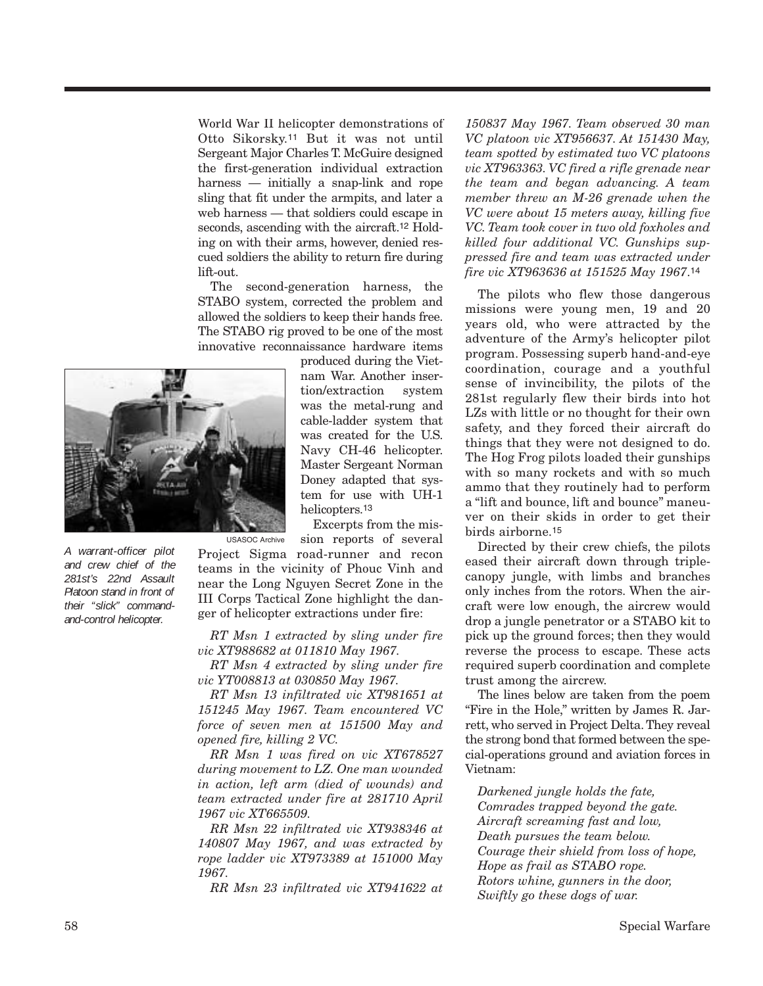World War II helicopter demonstrations of Otto Sikorsky.11 But it was not until Sergeant Major Charles T. McGuire designed the first-generation individual extraction harness — initially a snap-link and rope sling that fit under the armpits, and later a web harness — that soldiers could escape in seconds, ascending with the aircraft.12 Holding on with their arms, however, denied rescued soldiers the ability to return fire during lift-out.

The second-generation harness, the STABO system, corrected the problem and allowed the soldiers to keep their hands free. The STABO rig proved to be one of the most innovative reconnaissance hardware items



*A warrant-officer pilot and crew chief of the 281st's 22nd Assault Platoon stand in front of their "slick" commandand-control helicopter.*

produced during the Vietnam War. Another insertion/extraction system was the metal-rung and cable-ladder system that was created for the U.S. Navy CH-46 helicopter. Master Sergeant Norman Doney adapted that system for use with UH-1 helicopters.13

Excerpts from the mis-

sion reports of several Project Sigma road-runner and recon teams in the vicinity of Phouc Vinh and near the Long Nguyen Secret Zone in the III Corps Tactical Zone highlight the danger of helicopter extractions under fire: USASOC Archive

*RT Msn 1 extracted by sling under fire vic XT988682 at 011810 May 1967.*

*RT Msn 4 extracted by sling under fire vic YT008813 at 030850 May 1967.*

*RT Msn 13 infiltrated vic XT981651 at 151245 May 1967. Team encountered VC force of seven men at 151500 May and opened fire, killing 2 VC.*

*RR Msn 1 was fired on vic XT678527 during movement to LZ. One man wounded in action, left arm (died of wounds) and team extracted under fire at 281710 April 1967 vic XT665509.*

*RR Msn 22 infiltrated vic XT938346 at 140807 May 1967, and was extracted by rope ladder vic XT973389 at 151000 May 1967.*

*RR Msn 23 infiltrated vic XT941622 at*

*150837 May 1967. Team observed 30 man VC platoon vic XT956637. At 151430 May, team spotted by estimated two VC platoons vic XT963363. VC fired a rifle grenade near the team and began advancing. A team member threw an M-26 grenade when the VC were about 15 meters away, killing five VC. Team took cover in two old foxholes and killed four additional VC. Gunships suppressed fire and team was extracted under fire vic XT963636 at 151525 May 1967*.14

The pilots who flew those dangerous missions were young men, 19 and 20 years old, who were attracted by the adventure of the Army's helicopter pilot program. Possessing superb hand-and-eye coordination, courage and a youthful sense of invincibility, the pilots of the 281st regularly flew their birds into hot LZs with little or no thought for their own safety, and they forced their aircraft do things that they were not designed to do. The Hog Frog pilots loaded their gunships with so many rockets and with so much ammo that they routinely had to perform a "lift and bounce, lift and bounce" maneuver on their skids in order to get their birds airborne.15

Directed by their crew chiefs, the pilots eased their aircraft down through triplecanopy jungle, with limbs and branches only inches from the rotors. When the aircraft were low enough, the aircrew would drop a jungle penetrator or a STABO kit to pick up the ground forces; then they would reverse the process to escape. These acts required superb coordination and complete trust among the aircrew.

The lines below are taken from the poem "Fire in the Hole," written by James R. Jarrett, who served in Project Delta. They reveal the strong bond that formed between the special-operations ground and aviation forces in Vietnam:

*Darkened jungle holds the fate, Comrades trapped beyond the gate. Aircraft screaming fast and low, Death pursues the team below. Courage their shield from loss of hope, Hope as frail as STABO rope. Rotors whine, gunners in the door, Swiftly go these dogs of war.*

58 Special Warfare